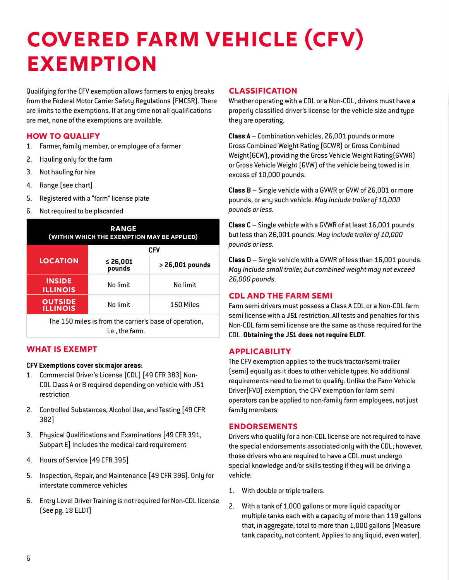# **Covered Farm Vehicle (CFV) EXEMPTION**

Qualifying for the CFV exemption allows farmers to enjoy breaks from the Federal Motor Carrier Safety Regulations (FMCSR). There are limits to the exemptions. If at any time not all qualifications are met, none of the exemptions are available.

## **How to Qualify**

- 1. Farmer, family member, or employee of a farmer
- 2. Hauling only for the farm
- 3. Not hauling for hire
- 4. Range (see chart)
- 5. Registered with a "farm" license plate
- 6. Not required to be placarded

| <b>RANGE</b><br>(WITHIN WHICH THE EXEMPTION MAY BE APPLIED)               |                    |                 |
|---------------------------------------------------------------------------|--------------------|-----------------|
|                                                                           | <b>CFV</b>         |                 |
| <b>LOCATION</b>                                                           | ≤ 26,001<br>pounds | > 26,001 pounds |
| <b>INSIDE</b><br><b>ILLINOIS</b>                                          | No limit           | No limit        |
| <b>OUTSIDE</b><br><b>ILLINOIS</b>                                         | No limit           | 150 Miles       |
| The 150 miles is from the carrier's base of operation,<br>i.e., the farm. |                    |                 |

## **What Is Exempt**

#### **CFV Exemptions cover six major areas:**

- 1. Commercial Driver's License (CDL) [49 CFR 383] Non-CDL Class A or B required depending on vehicle with J51 restriction
- 2. Controlled Substances, Alcohol Use, and Testing [49 CFR 382]
- 3. Physical Qualifications and Examinations [49 CFR 391, Subpart E] Includes the medical card requirement
- 4. Hours of Service [49 CFR 395]
- 5. Inspection, Repair, and Maintenance [49 CFR 396]. Only for interstate commerce vehicles
- 6. Entry Level Driver Training is not required for Non-CDL license (See pg. 18 ELDT)

#### **Classification**

Whether operating with a CDL or a Non-CDL, drivers must have a properly classified driver's license for the vehicle size and type they are operating.

**Class A** – Combination vehicles, 26,001 pounds or more Gross Combined Weight Rating (GCWR) or Gross Combined Weight(GCW), providing the Gross Vehicle Weight Rating(GVWR) or Gross Vehicle Weight (GVW) of the vehicle being towed is in excess of 10,000 pounds.

**Class B** – Single vehicle with a GVWR or GVW of 26,001 or more pounds, or any such vehicle. *May include trailer of 10,000 pounds or less.*

**Class C** – Single vehicle with a GVWR of at least 16,001 pounds but less than 26,001 pounds. *May include trailer of 10,000 pounds or less.*

**Class D** – Single vehicle with a GVWR of less than 16,001 pounds. *May include small trailer, but combined weight may not exceed 26,000 pounds.*

## **CDL and the Farm Semi**

Farm semi drivers must possess a Class A CDL or a Non-CDL farm semi license with a **J51** restriction. All tests and penalties for this Non-CDL farm semi license are the same as those required for the CDL. **Obtaining the J51 does not require ELDT.** 

## **Applicability**

The CFV exemption applies to the truck-tractor/semi-trailer (semi) equally as it does to other vehicle types. No additional requirements need to be met to qualify. Unlike the Farm Vehicle Driver(FVD) exemption, the CFV exemption for farm semi operators can be applied to non-family farm employees, not just family members.

#### **Endorsements**

Drivers who qualify for a non-CDL license are not required to have the special endorsements associated only with the CDL; however, those drivers who are required to have a CDL must undergo special knowledge and/or skills testing if they will be driving a vehicle:

- 1. With double or triple trailers.
- 2. With a tank of 1,000 gallons or more liquid capacity or multiple tanks each with a capacity of more than 119 gallons that, in aggregate, total to more than 1,000 gallons (Measure tank capacity, not content. Applies to any liquid, even water).